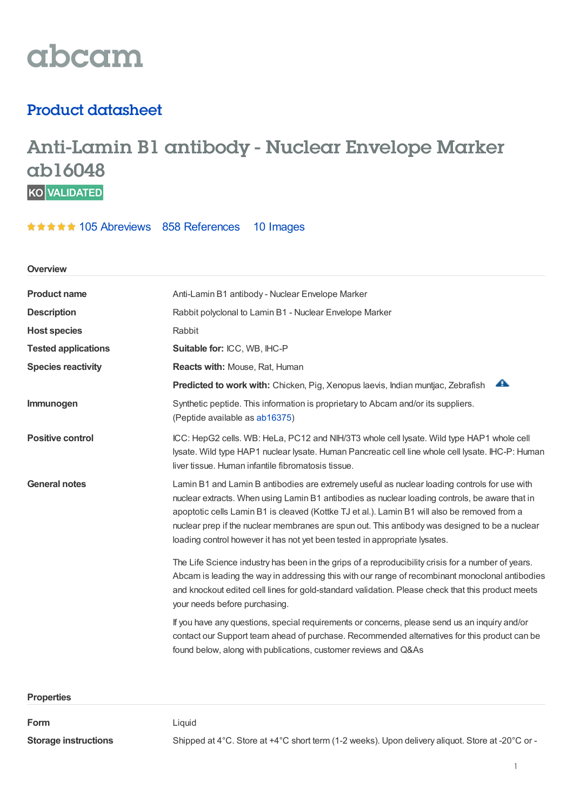

## Product datasheet

# Anti-Lamin B1 antibody - Nuclear Envelope Marker **ab16048**

\*\*\*\*\* 105 [Abreviews](https://www.abcam.com/lamin-b1-antibody-nuclear-envelope-marker-ab16048.html?productWallTab=Abreviews) 858 [References](https://www.abcam.com/lamin-b1-antibody-nuclear-envelope-marker-ab16048.html#description_references) 10 Images

| Overview                   |                                                                                                                                                                                                                                                                                                                                                                                                                                                                                 |  |
|----------------------------|---------------------------------------------------------------------------------------------------------------------------------------------------------------------------------------------------------------------------------------------------------------------------------------------------------------------------------------------------------------------------------------------------------------------------------------------------------------------------------|--|
| <b>Product name</b>        | Anti-Lamin B1 antibody - Nuclear Envelope Marker                                                                                                                                                                                                                                                                                                                                                                                                                                |  |
| <b>Description</b>         | Rabbit polyclonal to Lamin B1 - Nuclear Envelope Marker                                                                                                                                                                                                                                                                                                                                                                                                                         |  |
| <b>Host species</b>        | Rabbit                                                                                                                                                                                                                                                                                                                                                                                                                                                                          |  |
| <b>Tested applications</b> | Suitable for: ICC, WB, IHC-P                                                                                                                                                                                                                                                                                                                                                                                                                                                    |  |
| <b>Species reactivity</b>  | Reacts with: Mouse, Rat, Human                                                                                                                                                                                                                                                                                                                                                                                                                                                  |  |
|                            | A<br>Predicted to work with: Chicken, Pig, Xenopus laevis, Indian muntjac, Zebrafish                                                                                                                                                                                                                                                                                                                                                                                            |  |
| Immunogen                  | Synthetic peptide. This information is proprietary to Abcam and/or its suppliers.<br>(Peptide available as ab16375)                                                                                                                                                                                                                                                                                                                                                             |  |
| <b>Positive control</b>    | ICC: HepG2 cells. WB: HeLa, PC12 and NIH/3T3 whole cell lysate. Wild type HAP1 whole cell<br>lysate. Wild type HAP1 nuclear lysate. Human Pancreatic cell line whole cell lysate. IHC-P: Human<br>liver tissue. Human infantile fibromatosis tissue.                                                                                                                                                                                                                            |  |
| <b>General notes</b>       | Lamin B1 and Lamin B antibodies are extremely useful as nuclear loading controls for use with<br>nuclear extracts. When using Lamin B1 antibodies as nuclear loading controls, be aware that in<br>apoptotic cells Lamin B1 is cleaved (Kottke TJ et al.). Lamin B1 will also be removed from a<br>nuclear prep if the nuclear membranes are spun out. This antibody was designed to be a nuclear<br>loading control however it has not yet been tested in appropriate lysates. |  |
|                            | The Life Science industry has been in the grips of a reproducibility crisis for a number of years.<br>Abcam is leading the way in addressing this with our range of recombinant monoclonal antibodies<br>and knockout edited cell lines for gold-standard validation. Please check that this product meets<br>your needs before purchasing.                                                                                                                                     |  |
|                            | If you have any questions, special requirements or concerns, please send us an inquiry and/or<br>contact our Support team ahead of purchase. Recommended alternatives for this product can be<br>found below, along with publications, customer reviews and Q&As                                                                                                                                                                                                                |  |

| <b>Properties</b>           |                                                                                                  |
|-----------------------------|--------------------------------------------------------------------------------------------------|
| Form                        | Liauid                                                                                           |
|                             |                                                                                                  |
| <b>Storage instructions</b> | Shipped at 4°C. Store at +4°C short term (1-2 weeks). Upon delivery aliquot. Store at -20°C or - |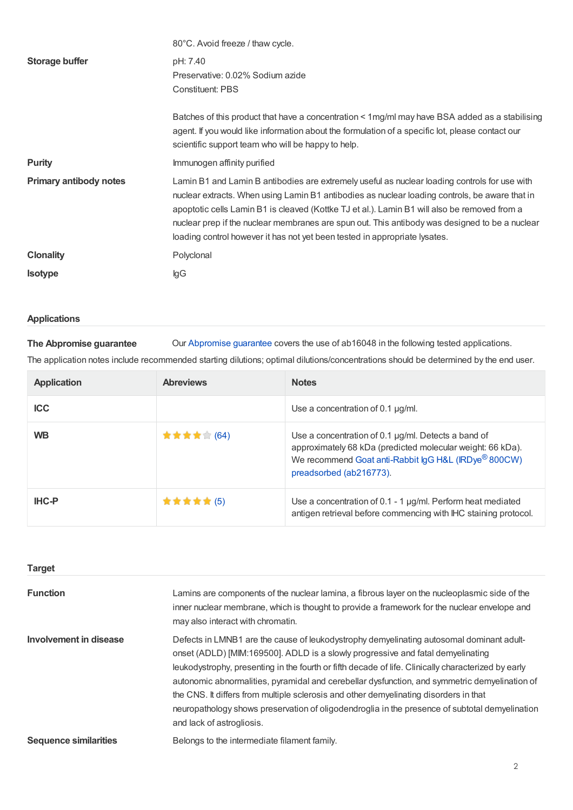|                               | 80°C. Avoid freeze / thaw cycle.                                                                                                                                                                                                                                                                                                                                                                                                                                                |
|-------------------------------|---------------------------------------------------------------------------------------------------------------------------------------------------------------------------------------------------------------------------------------------------------------------------------------------------------------------------------------------------------------------------------------------------------------------------------------------------------------------------------|
| Storage buffer                | pH: 7.40<br>Preservative: 0.02% Sodium azide<br><b>Constituent: PBS</b>                                                                                                                                                                                                                                                                                                                                                                                                         |
|                               | Batches of this product that have a concentration < 1 mg/ml may have BSA added as a stabilising<br>agent. If you would like information about the formulation of a specific lot, please contact our<br>scientific support team who will be happy to help.                                                                                                                                                                                                                       |
| <b>Purity</b>                 | Immunogen affinity purified                                                                                                                                                                                                                                                                                                                                                                                                                                                     |
| <b>Primary antibody notes</b> | Lamin B1 and Lamin B antibodies are extremely useful as nuclear loading controls for use with<br>nuclear extracts. When using Lamin B1 antibodies as nuclear loading controls, be aware that in<br>apoptotic cells Lamin B1 is cleaved (Kottke TJ et al.). Lamin B1 will also be removed from a<br>nuclear prep if the nuclear membranes are spun out. This antibody was designed to be a nuclear<br>loading control however it has not yet been tested in appropriate lysates. |
| <b>Clonality</b>              | Polyclonal                                                                                                                                                                                                                                                                                                                                                                                                                                                                      |
| <b>Isotype</b>                | lgG                                                                                                                                                                                                                                                                                                                                                                                                                                                                             |

### **Applications**

**The Abpromise guarantee** Our [Abpromise](https://www.abcam.com/abpromise) guarantee covers the use of ab16048 in the following tested applications. The application notes include recommended starting dilutions; optimal dilutions/concentrations should be determined by the end user.

| <b>Application</b> | <b>Abreviews</b> | <b>Notes</b>                                                                                                                                                                                              |
|--------------------|------------------|-----------------------------------------------------------------------------------------------------------------------------------------------------------------------------------------------------------|
| <b>ICC</b>         |                  | Use a concentration of 0.1 $\mu$ g/ml.                                                                                                                                                                    |
| <b>WB</b>          | ★ ★ ★ ★ ★ (64)   | Use a concentration of 0.1 $\mu$ g/ml. Detects a band of<br>approximately 68 kDa (predicted molecular weight: 66 kDa).<br>We recommend Goat anti-Rabbit IgG H&L (IRDye® 800CW)<br>preadsorbed (ab216773). |
| <b>IHC-P</b>       | ★★★★★(5)         | Use a concentration of 0.1 - 1 $\mu$ g/ml. Perform heat mediated<br>antigen retrieval before commencing with IHC staining protocol.                                                                       |

| <b>Target</b>                |                                                                                                                                                                                                                                                                                                                                                                                                                                                                                                                                                                                                             |
|------------------------------|-------------------------------------------------------------------------------------------------------------------------------------------------------------------------------------------------------------------------------------------------------------------------------------------------------------------------------------------------------------------------------------------------------------------------------------------------------------------------------------------------------------------------------------------------------------------------------------------------------------|
| <b>Function</b>              | Lamins are components of the nuclear lamina, a fibrous layer on the nucleoplasmic side of the<br>inner nuclear membrane, which is thought to provide a framework for the nuclear envelope and<br>may also interact with chromatin.                                                                                                                                                                                                                                                                                                                                                                          |
| Involvement in disease       | Defects in LMNB1 are the cause of leukodystrophy demyelinating autosomal dominant adult-<br>onset (ADLD) [MIM:169500]. ADLD is a slowly progressive and fatal demyelinating<br>leukodystrophy, presenting in the fourth or fifth decade of life. Clinically characterized by early<br>autonomic abnormalities, pyramidal and cerebellar dysfunction, and symmetric demyelination of<br>the CNS. It differs from multiple sclerosis and other demyelinating disorders in that<br>neuropathology shows preservation of oligodendroglia in the presence of subtotal demyelination<br>and lack of astrogliosis. |
| <b>Sequence similarities</b> | Belongs to the intermediate filament family.                                                                                                                                                                                                                                                                                                                                                                                                                                                                                                                                                                |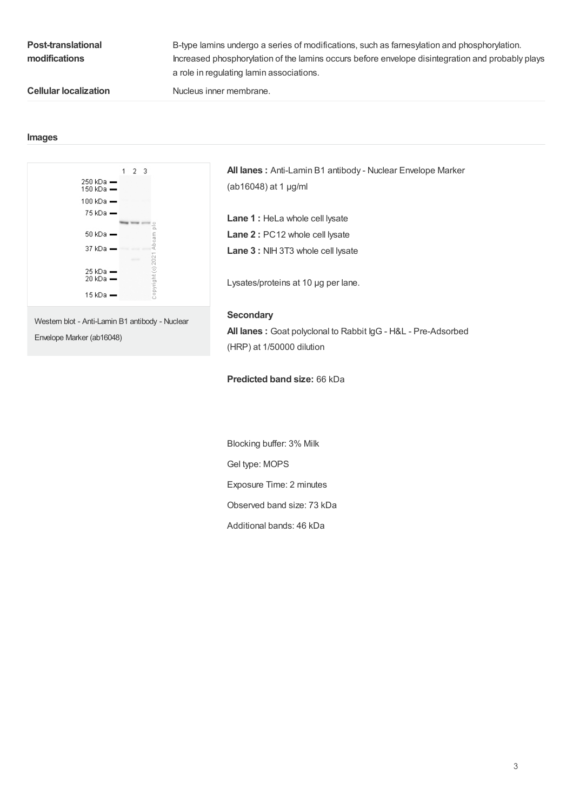| <b>Post-translational</b><br>modifications | B-type lamins undergo a series of modifications, such as farnesylation and phosphorylation.<br>Increased phosphorylation of the lamins occurs before envelope disintegration and probably plays<br>a role in regulating lamin associations. |
|--------------------------------------------|---------------------------------------------------------------------------------------------------------------------------------------------------------------------------------------------------------------------------------------------|
| <b>Cellular localization</b>               | Nucleus inner membrane.                                                                                                                                                                                                                     |

#### **Images**



Western blot - Anti-Lamin B1 antibody - Nuclear Envelope Marker (ab16048)

**All lanes :** Anti-Lamin B1 antibody - Nuclear Envelope Marker (ab16048) at 1 µg/ml

**Lane 1 :** HeLa whole cell lysate **Lane 2 :** PC12 whole cell lysate **Lane 3 :** NIH 3T3 whole cell lysate

Lysates/proteins at 10 µg per lane.

#### **Secondary**

**All lanes :** Goat polyclonal to Rabbit IgG - H&L - Pre-Adsorbed (HRP) at 1/50000 dilution

#### **Predicted band size:** 66 kDa

Blocking buffer: 3% Milk Gel type: MOPS Exposure Time: 2 minutes Observed band size: 73 kDa Additional bands: 46 kDa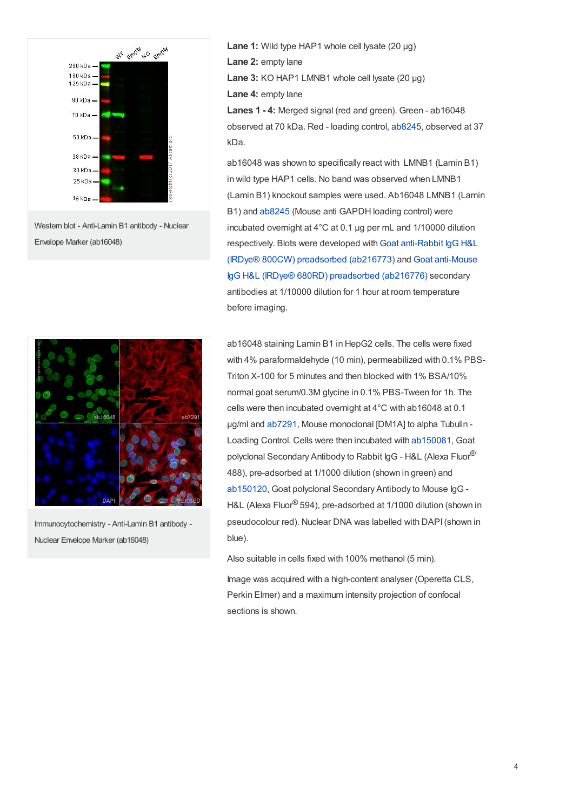

Western blot - Anti-Lamin B1 antibody - Nuclear Envelope Marker (ab16048)



Immunocytochemistry - Anti-Lamin B1 antibody - Nuclear Envelope Marker (ab16048)

**Lane 1:** Wild type HAP1 whole cell lysate (20 ug) **Lane 2:** empty lane **Lane 3:** KO HAP1 LMNB1 whole cell lysate (20 µg) **Lane 4:** empty lane **Lanes 1 - 4:** Merged signal (red and green). Green - ab16048

observed at 70 kDa. Red - loading control, [ab8245](https://www.abcam.com/ab8245.html), observed at 37 kDa.

ab16048 was shown to specifically react with LMNB1 (Lamin B1) in wild type HAP1 cells. No band was observed when LMNB1 (Lamin B1) knockout samples were used. Ab16048 LMNB1 (Lamin B1) and [ab8245](https://www.abcam.com/ab8245.html) (Mouse anti GAPDH loading control) were incubated overnight at 4°C at 0.1 μg per mL and 1/10000 dilution [respectively.](https://www.abcam.com/goat-rabbit-igg-hl-irdyereg-800cw-preadsorbed-ab216773.html) Blots were developed with Goat anti-Rabbit IgG H&L (IRDye® 800CW) [preadsorbed](https://www.abcam.com/goat-mouse-igg-hl-irdyereg-680rd-preadsorbed-ab216776.html) (ab216773) and Goat anti-Mouse IgG H&L (IRDye® 680RD) preadsorbed (ab216776) secondary antibodies at 1/10000 dilution for 1 hour at room temperature before imaging.

ab16048 staining Lamin B1 in HepG2 cells. The cells were fixed with 4% paraformaldehyde (10 min), permeabilized with 0.1% PBS-Triton X-100 for 5 minutes and then blocked with 1% BSA/10% normal goat serum/0.3M glycine in 0.1% PBS-Tween for 1h. The cells were then incubated overnight at 4°C with ab16048 at 0.1 µg/ml and [ab7291](https://www.abcam.com/ab7291.html), Mouse monoclonal [DM1A] to alpha Tubulin - Loading Control. Cells were then incubated with [ab150081](https://www.abcam.com/ab150081.html), Goat polyclonal Secondary Antibody to Rabbit IgG - H&L (Alexa Fluor® 488), pre-adsorbed at 1/1000 dilution (shown in green) and [ab150120](https://www.abcam.com/ab150120.html), Goat polyclonal Secondary Antibody to Mouse IgG - H&L (Alexa Fluor® 594), pre-adsorbed at 1/1000 dilution (shown in pseudocolour red). Nuclear DNA was labelled with DAPI(shown in blue).

Also suitable in cells fixed with 100% methanol (5 min). Image was acquired with a high-content analyser (Operetta CLS, Perkin Elmer) and a maximum intensity projection of confocal sections is shown.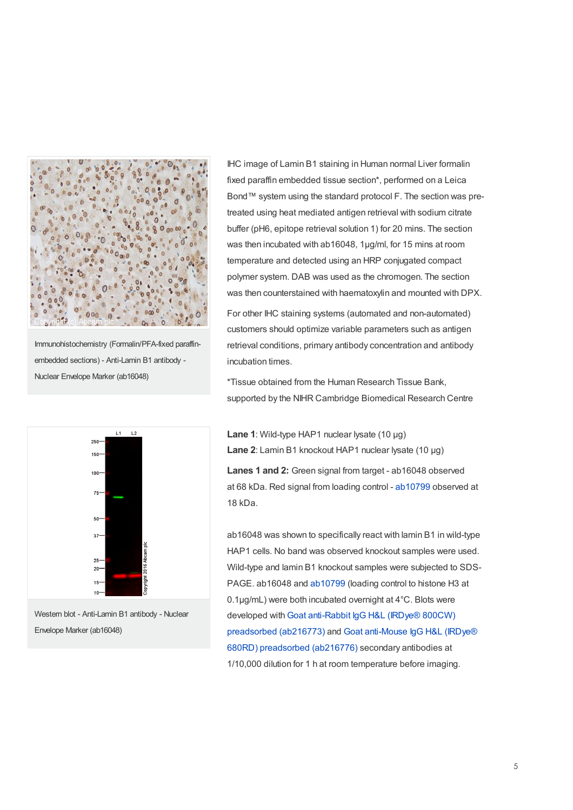

Immunohistochemistry (Formalin/PFA-fixed paraffinembedded sections) - Anti-Lamin B1 antibody - Nuclear Envelope Marker (ab16048)



Western blot - Anti-Lamin B1 antibody - Nuclear Envelope Marker (ab16048)

IHC image of Lamin B1 staining in Human normal Liver formalin fixed paraffin embedded tissue section\*, performed on a Leica Bond™ system using the standard protocol F. The section was pretreated using heat mediated antigen retrieval with sodium citrate buffer (pH6, epitope retrieval solution 1) for 20 mins. The section was then incubated with ab16048, 1µg/ml, for 15 mins at room temperature and detected using an HRP conjugated compact polymer system. DAB was used as the chromogen. The section was then counterstained with haematoxylin and mounted with DPX.

For other IHC staining systems (automated and non-automated) customers should optimize variable parameters such as antigen retrieval conditions, primary antibody concentration and antibody incubation times.

\*Tissue obtained from the Human Research Tissue Bank, supported by the NIHR Cambridge Biomedical Research Centre

**Lane 1**: Wild-type HAP1 nuclear lysate (10 µg) **Lane 2**: Lamin B1 knockout HAP1 nuclear lysate (10 µg) **Lanes 1 and 2:** Green signal from target - ab16048 observed at 68 kDa. Red signal from loading control - [ab10799](https://www.abcam.com/ab10799.html) observed at 18 kDa.

ab16048 was shown to specifically react with lamin B1 in wild-type HAP1 cells. No band was observed knockout samples were used. Wild-type and lamin B1 knockout samples were subjected to SDS-PAGE. ab16048 and [ab10799](https://www.abcam.com/ab10799.html) (loading control to histone H3 at 0.1µg/mL) were both incubated overnight at 4°C. Blots were developed with Goat anti-Rabbit IgG H&L (IRDye® 800CW) [preadsorbed](https://www.abcam.com/goat-mouse-igg-hl-irdyereg-680rd-preadsorbed-ab216776.html) (ab216773) and Goat anti-Mouse IgG H&L (IRDye® 680RD) preadsorbed (ab216776) secondary antibodies at 1/10,000 dilution for 1 h at room temperature before imaging.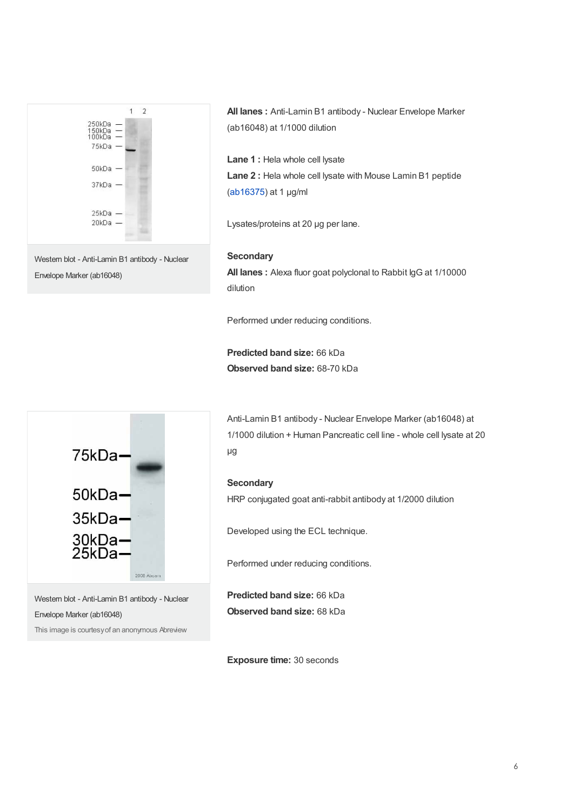

Envelope Marker (ab16048)

**All lanes :** Anti-Lamin B1 antibody - Nuclear Envelope Marker (ab16048) at 1/1000 dilution

**Lane 1 :** Hela whole cell lysate **Lane 2 :** Hela whole cell lysate with Mouse Lamin B1 peptide ([ab16375](https://www.abcam.com/ab16375.html)) at 1 µg/ml

Lysates/proteins at 20 µg per lane.

#### **Secondary**

**All lanes :** Alexa fluor goat polyclonal to Rabbit IgG at 1/10000 dilution

Performed under reducing conditions.

**Predicted band size:** 66 kDa **Observed band size:** 68-70 kDa



Western blot - Anti-Lamin B1 antibody - Nuclear Envelope Marker (ab16048)

This image is courtesyof an anonymous Abreview

Anti-Lamin B1 antibody - Nuclear Envelope Marker (ab16048) at 1/1000 dilution + Human Pancreatic cell line - whole cell lysate at 20 µg

#### **Secondary**

HRP conjugated goat anti-rabbit antibody at 1/2000 dilution

Developed using the ECL technique.

Performed under reducing conditions.

**Predicted band size:** 66 kDa **Observed band size:** 68 kDa

**Exposure time:** 30 seconds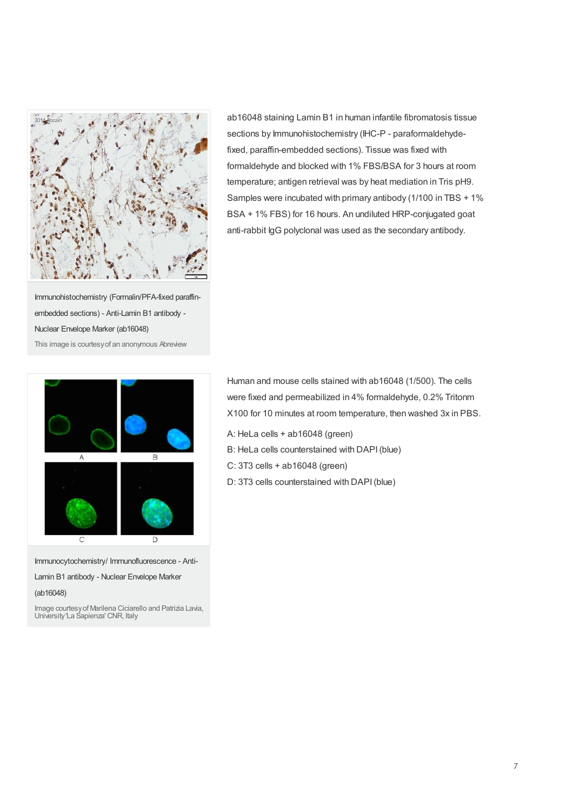

ab16048 staining Lamin B1 in human infantile fibromatosis tissue sections by Immunohistochemistry (IHC-P - paraformaldehydefixed, paraffin-embedded sections). Tissue was fixed with formaldehyde and blocked with 1% FBS/BSA for 3 hours at room temperature; antigen retrieval was by heat mediation in Tris pH9. Samples were incubated with primary antibody (1/100 in TBS + 1% BSA + 1% FBS) for 16 hours. An undiluted HRP-conjugated goat anti-rabbit IgG polyclonal was used as the secondary antibody.

Immunohistochemistry (Formalin/PFA-fixed paraffinembedded sections) - Anti-Lamin B1 antibody - Nuclear Envelope Marker (ab16048) This image is courtesyof an anonymous Abreview



Immunocytochemistry/ Immunofluorescence - Anti-

Lamin B1 antibody - Nuclear Envelope Marker

(ab16048)

Image courtesyof Marilena Ciciarello and Patrizia Lavia, University'La Sapienza' CNR, Italy

Human and mouse cells stained with ab16048 (1/500). The cells were fixed and permeabilized in 4% formaldehyde, 0.2% Tritonm X100 for 10 minutes at room temperature, then washed 3x in PBS.

- A: HeLa cells + ab16048 (green)
- B: HeLa cells counterstained with DAPI(blue)
- C: 3T3 cells + ab16048 (green)
- D: 3T3 cells counterstained with DAPI(blue)